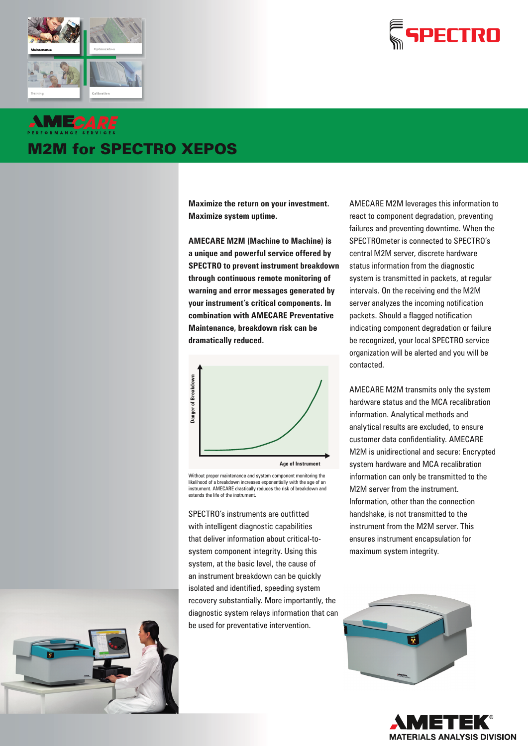



# **AMECARE** M2M for SPECTRO XEPOS

**Maximize the return on your investment. Maximize system uptime.**

**AMECARE M2M (Machine to Machine) is a unique and powerful service offered by SPECTRO to prevent instrument breakdown through continuous remote monitoring of warning and error messages generated by your instrument's critical components. In combination with AMECARE Preventative Maintenance, breakdown risk can be dramatically reduced.**



Without proper maintenance and system component monitoring the likelihood of a breakdown increases exponentially with the age of an instrument. AMECARE drastically reduces the risk of breakdown and extends the life of the instrument

SPECTRO's instruments are outfitted with intelligent diagnostic capabilities that deliver information about critical-tosystem component integrity. Using this system, at the basic level, the cause of an instrument breakdown can be quickly isolated and identified, speeding system recovery substantially. More importantly, the diagnostic system relays information that can be used for preventative intervention.

AMECARE M2M leverages this information to react to component degradation, preventing failures and preventing downtime. When the SPECTROmeter is connected to SPECTRO's central M2M server, discrete hardware status information from the diagnostic system is transmitted in packets, at regular intervals. On the receiving end the M2M server analyzes the incoming notification packets. Should a flagged notification indicating component degradation or failure be recognized, your local SPECTRO service organization will be alerted and you will be contacted.

AMECARE M2M transmits only the system hardware status and the MCA recalibration information. Analytical methods and analytical results are excluded, to ensure customer data confidentiality. AMECARE M2M is unidirectional and secure: Encrypted system hardware and MCA recalibration information can only be transmitted to the M2M server from the instrument. Information, other than the connection handshake, is not transmitted to the instrument from the M2M server. This ensures instrument encapsulation for maximum system integrity.